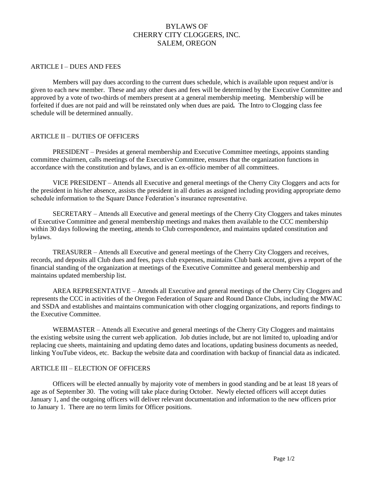# BYLAWS OF CHERRY CITY CLOGGERS, INC. SALEM, OREGON

#### ARTICLE I – DUES AND FEES

Members will pay dues according to the current dues schedule, which is available upon request and/or is given to each new member.These and any other dues and fees will be determined by the Executive Committee and approved by a vote of two-thirds of members present at a general membership meeting. Membership will be forfeited if dues are not paid and will be reinstated only when dues are paid*.* The Intro to Clogging class fee schedule will be determined annually.

### ARTICLE II – DUTIES OF OFFICERS

PRESIDENT – Presides at general membership and Executive Committee meetings, appoints standing committee chairmen, calls meetings of the Executive Committee, ensures that the organization functions in accordance with the constitution and bylaws, and is an ex-officio member of all committees.

VICE PRESIDENT – Attends all Executive and general meetings of the Cherry City Cloggers and acts for the president in his/her absence, assists the president in all duties as assigned including providing appropriate demo schedule information to the Square Dance Federation's insurance representative.

SECRETARY – Attends all Executive and general meetings of the Cherry City Cloggers and takes minutes of Executive Committee and general membership meetings and makes them available to the CCC membership within 30 days following the meeting, attends to Club correspondence, and maintains updated constitution and bylaws.

TREASURER – Attends all Executive and general meetings of the Cherry City Cloggers and receives, records, and deposits all Club dues and fees, pays club expenses, maintains Club bank account, gives a report of the financial standing of the organization at meetings of the Executive Committee and general membership and maintains updated membership list.

AREA REPRESENTATIVE – Attends all Executive and general meetings of the Cherry City Cloggers and represents the CCC in activities of the Oregon Federation of Square and Round Dance Clubs, including the MWAC and SSDA and establishes and maintains communication with other clogging organizations, and reports findings to the Executive Committee.

WEBMASTER – Attends all Executive and general meetings of the Cherry City Cloggers and maintains the existing website using the current web application. Job duties include, but are not limited to, uploading and/or replacing cue sheets, maintaining and updating demo dates and locations, updating business documents as needed, linking YouTube videos, etc. Backup the website data and coordination with backup of financial data as indicated.

#### ARTICLE III – ELECTION OF OFFICERS

Officers will be elected annually by majority vote of members in good standing and be at least 18 years of age as of September 30. The voting will take place during October. Newly elected officers will accept duties January 1, and the outgoing officers will deliver relevant documentation and information to the new officers prior to January 1. There are no term limits for Officer positions.